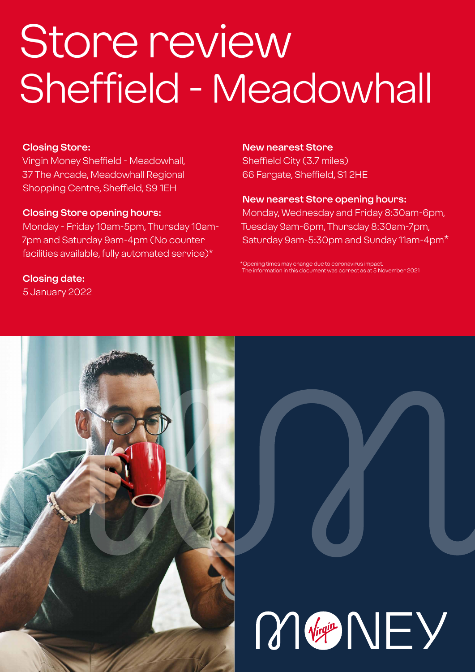# Store review Sheffield - Meadowhall

### **Closing Store:**

Virgin Money Sheffield - Meadowhall, 37 The Arcade, Meadowhall Regional Shopping Centre, Sheffield, S9 1EH

### **Closing Store opening hours:**

Monday - Friday 10am-5pm, Thursday 10am-7pm and Saturday 9am-4pm (No counter facilities available, fully automated service)\*

**Closing date:** 

5 January 2022

### **New nearest Store**

Sheffield City (3.7 miles) 66 Fargate, Sheffield, S1 2HE

### **New nearest Store opening hours:**

Monday, Wednesday and Friday 8:30am-6pm, Tuesday 9am-6pm, Thursday 8:30am-7pm, Saturday 9am-5:30pm and Sunday 11am-4pm\*

\*Opening times may change due to coronavirus impact. ation in this document was correct as at 5 November 2021



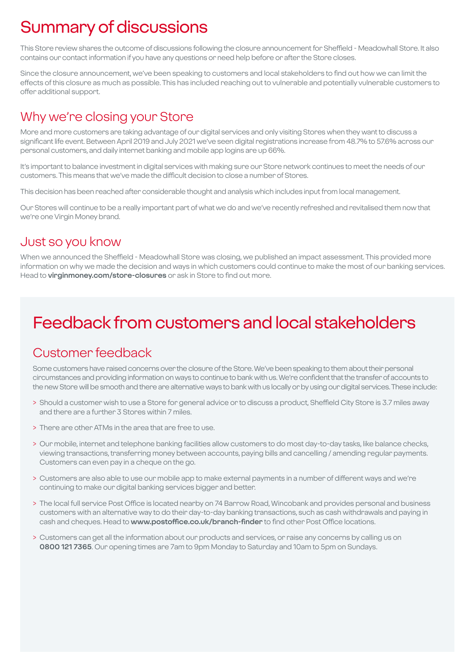# Summary of discussions

This Store review shares the outcome of discussions following the closure announcement for Sheffield - Meadowhall Store. It also contains our contact information if you have any questions or need help before or after the Store closes.

Since the closure announcement, we've been speaking to customers and local stakeholders to find out how we can limit the effects of this closure as much as possible. This has included reaching out to vulnerable and potentially vulnerable customers to offer additional support.

### Why we're closing your Store

More and more customers are taking advantage of our digital services and only visiting Stores when they want to discuss a significant life event. Between April 2019 and July 2021 we've seen digital registrations increase from 48.7% to 57.6% across our personal customers, and daily internet banking and mobile app logins are up 66%.

It's important to balance investment in digital services with making sure our Store network continues to meet the needs of our customers. This means that we've made the difficult decision to close a number of Stores.

This decision has been reached after considerable thought and analysis which includes input from local management.

Our Stores will continue to be a really important part of what we do and we've recently refreshed and revitalised them now that we're one Virgin Money brand.

### Just so you know

When we announced the Sheffield - Meadowhall Store was closing, we published an impact assessment. This provided more information on why we made the decision and ways in which customers could continue to make the most of our banking services. Head to **virginmoney.com/store-closures** or ask in Store to find out more.

# Feedback from customers and local stakeholders

### Customer feedback

Some customers have raised concerns over the closure of the Store. We've been speaking to them about their personal circumstances and providing information on ways to continue to bank with us. We're confident that the transfer of accounts to the new Store will be smooth and there are alternative ways to bank with us locally or by using our digital services. These include:

- > Should a customer wish to use a Store for general advice or to discuss a product, Sheffield City Store is 3.7 miles away and there are a further 3 Stores within 7 miles.
- > There are other ATMs in the area that are free to use.
- > Our mobile, internet and telephone banking facilities allow customers to do most day-to-day tasks, like balance checks, viewing transactions, transferring money between accounts, paying bills and cancelling / amending regular payments. Customers can even pay in a cheque on the go.
- > Customers are also able to use our mobile app to make external payments in a number of different ways and we're continuing to make our digital banking services bigger and better.
- > The local full service Post Office is located nearby on 74 Barrow Road, Wincobank and provides personal and business customers with an alternative way to do their day-to-day banking transactions, such as cash withdrawals and paying in cash and cheques. Head to **www.postoffice.co.uk/branch-finder** to find other Post Office locations.
- > Customers can get all the information about our products and services, or raise any concerns by calling us on **0800 121 7365**. Our opening times are 7am to 9pm Monday to Saturday and 10am to 5pm on Sundays.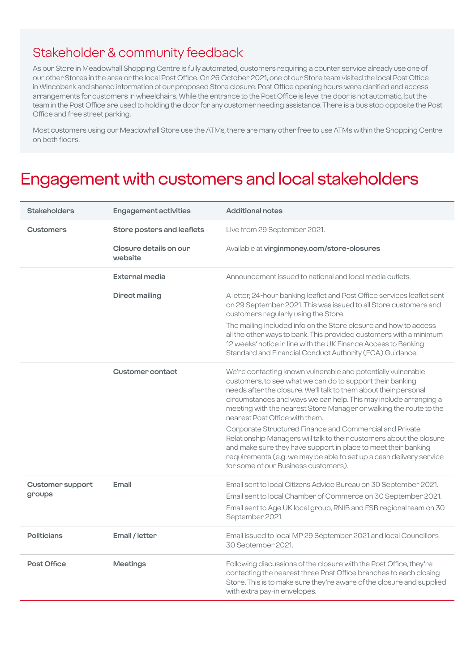### Stakeholder & community feedback

As our Store in Meadowhall Shopping Centre is fully automated, customers requiring a counter service already use one of our other Stores in the area or the local Post Office. On 26 October 2021, one of our Store team visited the local Post Office in Wincobank and shared information of our proposed Store closure. Post Office opening hours were clarified and access arrangements for customers in wheelchairs. While the entrance to the Post Office is level the door is not automatic, but the team in the Post Office are used to holding the door for any customer needing assistance. There is a bus stop opposite the Post Office and free street parking.

Most customers using our Meadowhall Store use the ATMs, there are many other free to use ATMs within the Shopping Centre on both floors.

### Engagement with customers and local stakeholders

| <b>Stakeholders</b>     | <b>Engagement activities</b>      | <b>Additional notes</b>                                                                                                                                                                                                                                                                                                                                                   |
|-------------------------|-----------------------------------|---------------------------------------------------------------------------------------------------------------------------------------------------------------------------------------------------------------------------------------------------------------------------------------------------------------------------------------------------------------------------|
| <b>Customers</b>        | Store posters and leaflets        | Live from 29 September 2021.                                                                                                                                                                                                                                                                                                                                              |
|                         | Closure details on our<br>website | Available at virginmoney.com/store-closures                                                                                                                                                                                                                                                                                                                               |
|                         | External media                    | Announcement issued to national and local media outlets.                                                                                                                                                                                                                                                                                                                  |
|                         | <b>Direct mailing</b>             | A letter, 24-hour banking leaflet and Post Office services leaflet sent<br>on 29 September 2021. This was issued to all Store customers and<br>customers regularly using the Store.                                                                                                                                                                                       |
|                         |                                   | The mailing included info on the Store closure and how to access<br>all the other ways to bank. This provided customers with a minimum<br>12 weeks' notice in line with the UK Finance Access to Banking<br>Standard and Financial Conduct Authority (FCA) Guidance.                                                                                                      |
|                         | <b>Customer contact</b>           | We're contacting known vulnerable and potentially vulnerable<br>customers, to see what we can do to support their banking<br>needs after the closure. We'll talk to them about their personal<br>circumstances and ways we can help. This may include arranging a<br>meeting with the nearest Store Manager or walking the route to the<br>nearest Post Office with them. |
|                         |                                   | Corporate Structured Finance and Commercial and Private<br>Relationship Managers will talk to their customers about the closure<br>and make sure they have support in place to meet their banking<br>requirements (e.g. we may be able to set up a cash delivery service<br>for some of our Business customers).                                                          |
| <b>Customer support</b> | Email                             | Email sent to local Citizens Advice Bureau on 30 September 2021.                                                                                                                                                                                                                                                                                                          |
| groups                  |                                   | Email sent to local Chamber of Commerce on 30 September 2021.<br>Email sent to Age UK local group, RNIB and FSB regional team on 30<br>September 2021.                                                                                                                                                                                                                    |
| <b>Politicians</b>      | Email / letter                    | Email issued to local MP 29 September 2021 and local Councillors<br>30 September 2021.                                                                                                                                                                                                                                                                                    |
| Post Office             | <b>Meetings</b>                   | Following discussions of the closure with the Post Office, they're<br>contacting the nearest three Post Office branches to each closing<br>Store. This is to make sure they're aware of the closure and supplied<br>with extra pay-in envelopes.                                                                                                                          |